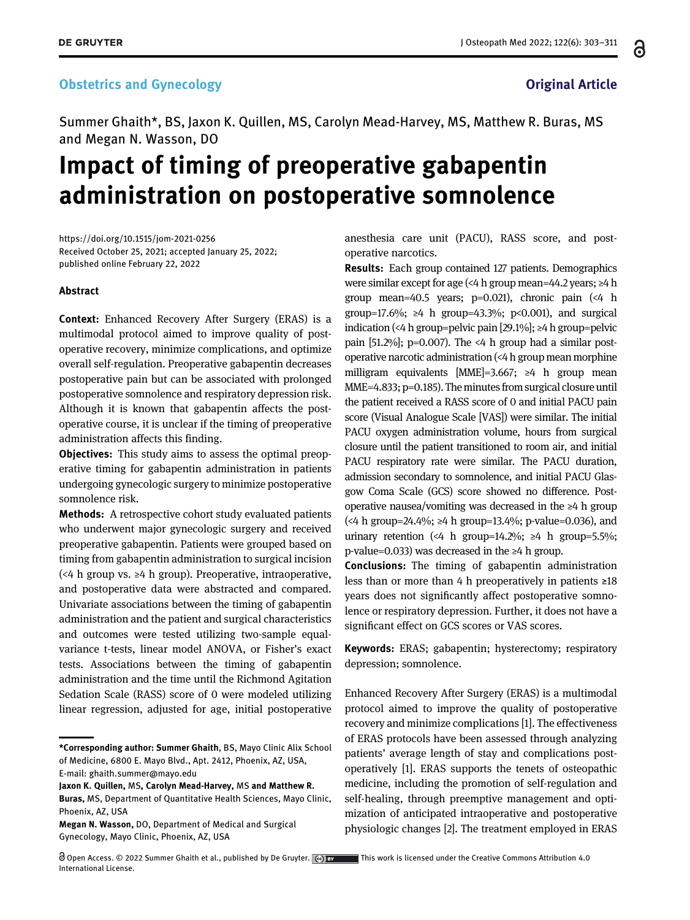### **Obstetrics and Gynecology Channels and School Channels and School Channels and School Channels and School Channels and School Channels and School Channels and School Channels and School Channels and School Channels and Sc**

Summer Ghaith\*, BS, Jaxon K. Quillen, MS, Carolyn Mead-Harvey, MS, Matthew R. Buras, MS and Megan N. Wasson, DO

# Impact of timing of preoperative gabapentin administration on postoperative somnolence

<https://doi.org/10.1515/jom-2021-0256> Received October 25, 2021; accepted January 25, 2022; published online February 22, 2022

#### Abstract

Context: Enhanced Recovery After Surgery (ERAS) is a multimodal protocol aimed to improve quality of postoperative recovery, minimize complications, and optimize overall self-regulation. Preoperative gabapentin decreases postoperative pain but can be associated with prolonged postoperative somnolence and respiratory depression risk. Although it is known that gabapentin affects the postoperative course, it is unclear if the timing of preoperative administration affects this finding.

**Objectives:** This study aims to assess the optimal preoperative timing for gabapentin administration in patients undergoing gynecologic surgery to minimize postoperative somnolence risk.

Methods: A retrospective cohort study evaluated patients who underwent major gynecologic surgery and received preoperative gabapentin. Patients were grouped based on timing from gabapentin administration to surgical incision (<4 h group vs. ≥4 h group). Preoperative, intraoperative, and postoperative data were abstracted and compared. Univariate associations between the timing of gabapentin administration and the patient and surgical characteristics and outcomes were tested utilizing two-sample equalvariance t-tests, linear model ANOVA, or Fisher's exact tests. Associations between the timing of gabapentin administration and the time until the Richmond Agitation Sedation Scale (RASS) score of 0 were modeled utilizing linear regression, adjusted for age, initial postoperative anesthesia care unit (PACU), RASS score, and postoperative narcotics.

Results: Each group contained 127 patients. Demographics were similar except for age (<4 h group mean=44.2 years; ≥4 h group mean=40.5 years;  $p=0.021$ ), chronic pain (<4 h group=17.6%; ≥4 h group=43.3%; p<0.001), and surgical indication (<4 h group=pelvic pain [29.1%]; ≥4 h group=pelvic pain  $[51.2\%]$ ; p=0.007). The <4 h group had a similar postoperative narcotic administration (<4 h group mean morphine milligram equivalents [MME]=3.667; ≥4 h group mean MME=4.833; p=0.185). The minutes from surgical closure until the patient received a RASS score of 0 and initial PACU pain score (Visual Analogue Scale [VAS]) were similar. The initial PACU oxygen administration volume, hours from surgical closure until the patient transitioned to room air, and initial PACU respiratory rate were similar. The PACU duration, admission secondary to somnolence, and initial PACU Glasgow Coma Scale (GCS) score showed no difference. Postoperative nausea/vomiting was decreased in the ≥4 h group (<4 h group=24.4%; ≥4 h group=13.4%; p-value=0.036), and urinary retention (<4 h group=14.2%;  $\geq 4$  h group=5.5%; p-value=0.033) was decreased in the ≥4 h group.

Conclusions: The timing of gabapentin administration less than or more than 4 h preoperatively in patients ≥18 years does not significantly affect postoperative somnolence or respiratory depression. Further, it does not have a significant effect on GCS scores or VAS scores.

Keywords: ERAS; gabapentin; hysterectomy; respiratory depression; somnolence.

Enhanced Recovery After Surgery (ERAS) is a multimodal protocol aimed to improve the quality of postoperative recovery and minimize complications [[1\]](#page-7-0). The effectiveness of ERAS protocols have been assessed through analyzing patients' average length of stay and complications postoperatively [[1\]](#page-7-0). ERAS supports the tenets of osteopathic medicine, including the promotion of self-regulation and self-healing, through preemptive management and optimization of anticipated intraoperative and postoperative physiologic changes [[2](#page-7-1)]. The treatment employed in ERAS

<sup>\*</sup>Corresponding author: Summer Ghaith, BS, Mayo Clinic Alix School of Medicine, 6800 E. Mayo Blvd., Apt. 2412, Phoenix, AZ, USA, E-mail: [ghaith.summer@mayo.edu](mailto:ghaith.summer@mayo.edu)

Jaxon K. Quillen, MS, Carolyn Mead-Harvey, MS and Matthew R. Buras, MS, Department of Quantitative Health Sciences, Mayo Clinic, Phoenix, AZ, USA

Megan N. Wasson, DO, Department of Medical and Surgical Gynecology, Mayo Clinic, Phoenix, AZ, USA

Open Access. © 2022 Summer Ghaith et al., published by De Gruyter. (c) by This work is licensed under the Creative Commons Attribution 4.0 International License.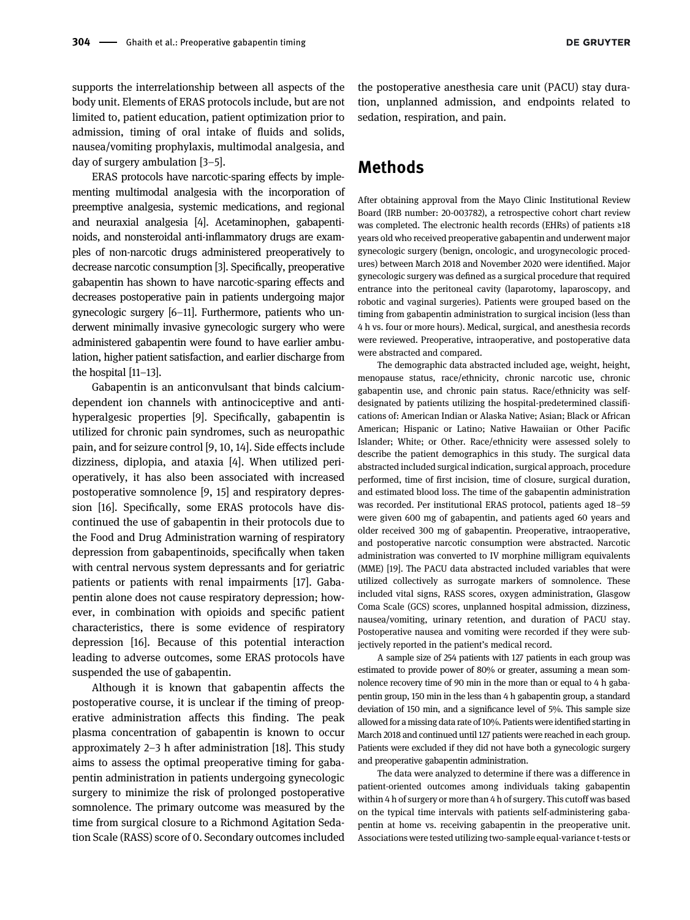supports the interrelationship between all aspects of the body unit. Elements of ERAS protocols include, but are not limited to, patient education, patient optimization prior to admission, timing of oral intake of fluids and solids, nausea/vomiting prophylaxis, multimodal analgesia, and day of surgery ambulation [3[–](#page-7-2)5].

ERAS protocols have narcotic-sparing effects by implementing multimodal analgesia with the incorporation of preemptive analgesia, systemic medications, and regional and neuraxial analgesia [\[4](#page-7-3)]. Acetaminophen, gabapentinoids, and nonsteroidal anti-inflammatory drugs are examples of non-narcotic drugs administered preoperatively to decrease narcotic consumption [\[3](#page-7-2)]. Specifically, preoperative gabapentin has shown to have narcotic-sparing effects and decreases postoperative pain in patients undergoing major gynecologic surgery [6–[11](#page-7-4)]. Furthermore, patients who underwent minimally invasive gynecologic surgery who were administered gabapentin were found to have earlier ambulation, higher patient satisfaction, and earlier discharge from the hospital [11–[13](#page-8-0)].

Gabapentin is an anticonvulsant that binds calciumdependent ion channels with antinociceptive and antihyperalgesic properties [[9\]](#page-7-5). Specifically, gabapentin is utilized for chronic pain syndromes, such as neuropathic pain, and for seizure control [\[9,](#page-7-5) [10,](#page-8-1) [14](#page-8-2)]. Side effects include dizziness, diplopia, and ataxia [\[4](#page-7-3)]. When utilized perioperatively, it has also been associated with increased postoperative somnolence [[9,](#page-7-5) [15](#page-8-3)] and respiratory depression [\[16](#page-8-4)]. Specifically, some ERAS protocols have discontinued the use of gabapentin in their protocols due to the Food and Drug Administration warning of respiratory depression from gabapentinoids, specifically when taken with central nervous system depressants and for geriatric patients or patients with renal impairments [[17](#page-8-5)]. Gabapentin alone does not cause respiratory depression; however, in combination with opioids and specific patient characteristics, there is some evidence of respiratory depression [[16](#page-8-4)]. Because of this potential interaction leading to adverse outcomes, some ERAS protocols have suspended the use of gabapentin.

Although it is known that gabapentin affects the postoperative course, it is unclear if the timing of preoperative administration affects this finding. The peak plasma concentration of gabapentin is known to occur approximately 2–3 h after administration [[18\]](#page-8-6). This study aims to assess the optimal preoperative timing for gabapentin administration in patients undergoing gynecologic surgery to minimize the risk of prolonged postoperative somnolence. The primary outcome was measured by the time from surgical closure to a Richmond Agitation Sedation Scale (RASS) score of 0. Secondary outcomes included

the postoperative anesthesia care unit (PACU) stay duration, unplanned admission, and endpoints related to sedation, respiration, and pain.

# Methods

After obtaining approval from the Mayo Clinic Institutional Review Board (IRB number: 20-003782), a retrospective cohort chart review was completed. The electronic health records (EHRs) of patients ≥18 years old who received preoperative gabapentin and underwent major gynecologic surgery (benign, oncologic, and urogynecologic procedures) between March 2018 and November 2020 were identified. Major gynecologic surgery was defined as a surgical procedure that required entrance into the peritoneal cavity (laparotomy, laparoscopy, and robotic and vaginal surgeries). Patients were grouped based on the timing from gabapentin administration to surgical incision (less than 4 h vs. four or more hours). Medical, surgical, and anesthesia records were reviewed. Preoperative, intraoperative, and postoperative data were abstracted and compared.

The demographic data abstracted included age, weight, height, menopause status, race/ethnicity, chronic narcotic use, chronic gabapentin use, and chronic pain status. Race/ethnicity was selfdesignated by patients utilizing the hospital-predetermined classifications of: American Indian or Alaska Native; Asian; Black or African American; Hispanic or Latino; Native Hawaiian or Other Pacific Islander; White; or Other. Race/ethnicity were assessed solely to describe the patient demographics in this study. The surgical data abstracted included surgical indication, surgical approach, procedure performed, time of first incision, time of closure, surgical duration, and estimated blood loss. The time of the gabapentin administration was recorded. Per institutional ERAS protocol, patients aged 18–59 were given 600 mg of gabapentin, and patients aged 60 years and older received 300 mg of gabapentin. Preoperative, intraoperative, and postoperative narcotic consumption were abstracted. Narcotic administration was converted to IV morphine milligram equivalents (MME) [\[19\]](#page-8-7). The PACU data abstracted included variables that were utilized collectively as surrogate markers of somnolence. These included vital signs, RASS scores, oxygen administration, Glasgow Coma Scale (GCS) scores, unplanned hospital admission, dizziness, nausea/vomiting, urinary retention, and duration of PACU stay. Postoperative nausea and vomiting were recorded if they were subjectively reported in the patient's medical record.

A sample size of 254 patients with 127 patients in each group was estimated to provide power of 80% or greater, assuming a mean somnolence recovery time of 90 min in the more than or equal to 4 h gabapentin group, 150 min in the less than 4 h gabapentin group, a standard deviation of 150 min, and a significance level of 5%. This sample size allowed for a missing data rate of 10%. Patients were identified starting in March 2018 and continued until 127 patients were reached in each group. Patients were excluded if they did not have both a gynecologic surgery and preoperative gabapentin administration.

The data were analyzed to determine if there was a difference in patient-oriented outcomes among individuals taking gabapentin within 4 h of surgery or more than 4 h of surgery. This cutoff was based on the typical time intervals with patients self-administering gabapentin at home vs. receiving gabapentin in the preoperative unit. Associations were tested utilizing two-sample equal-variance t-tests or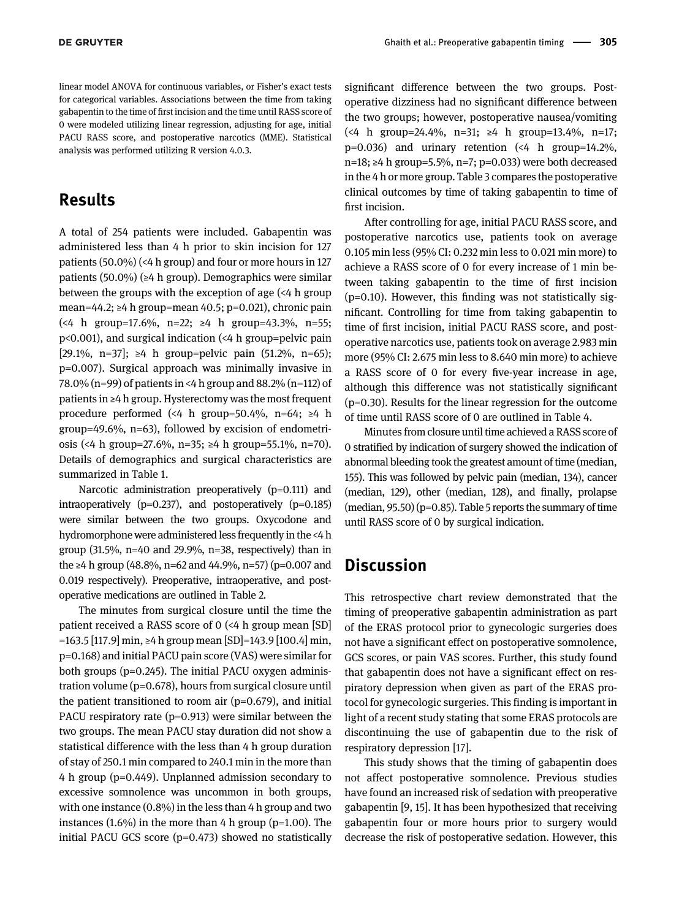linear model ANOVA for continuous variables, or Fisher's exact tests for categorical variables. Associations between the time from taking gabapentin to the time of first incision and the time until RASS score of 0 were modeled utilizing linear regression, adjusting for age, initial PACU RASS score, and postoperative narcotics (MME). Statistical analysis was performed utilizing R version 4.0.3.

## Results

A total of 254 patients were included. Gabapentin was administered less than 4 h prior to skin incision for 127 patients (50.0%) (<4 h group) and four or more hours in 127 patients (50.0%) (≥4 h group). Demographics were similar between the groups with the exception of age (<4 h group mean=44.2; ≥4 h group=mean 40.5; p=0.021), chronic pain (<4 h group=17.6%, n=22; ≥4 h group=43.3%, n=55; p<0.001), and surgical indication (<4 h group=pelvic pain [29.1%, n=37]; ≥4 h group=pelvic pain (51.2%, n=65); p=0.007). Surgical approach was minimally invasive in 78.0% (n=99) of patients in <4 h group and 88.2% (n=112) of patients in ≥4 h group. Hysterectomy was the most frequent procedure performed (<4 h group=50.4%, n=64;  $\geq 4$  h group=49.6%, n=63), followed by excision of endometriosis (<4 h group=27.6%, n=35; ≥4 h group=55.1%, n=70). Details of demographics and surgical characteristics are summarized in [Table 1.](#page-3-0)

Narcotic administration preoperatively (p=0.111) and intraoperatively ( $p=0.237$ ), and postoperatively ( $p=0.185$ ) were similar between the two groups. Oxycodone and hydromorphone were administered less frequently in the <4 h group (31.5%, n=40 and 29.9%, n=38, respectively) than in the ≥4 h group (48.8%, n=62 and 44.9%, n=57) (p=0.007 and 0.019 respectively). Preoperative, intraoperative, and postoperative medications are outlined in [Table 2](#page-4-0).

The minutes from surgical closure until the time the patient received a RASS score of 0 (<4 h group mean [SD] =163.5 [117.9] min, ≥4 h group mean [SD]=143.9 [100.4] min, p=0.168) and initial PACU pain score (VAS) were similar for both groups (p=0.245). The initial PACU oxygen administration volume (p=0.678), hours from surgical closure until the patient transitioned to room air (p=0.679), and initial PACU respiratory rate (p=0.913) were similar between the two groups. The mean PACU stay duration did not show a statistical difference with the less than 4 h group duration of stay of 250.1 min compared to 240.1 min in the more than 4 h group (p=0.449). Unplanned admission secondary to excessive somnolence was uncommon in both groups, with one instance (0.8%) in the less than 4 h group and two instances  $(1.6\%)$  in the more than 4 h group (p=1.00). The initial PACU GCS score (p=0.473) showed no statistically

significant difference between the two groups. Postoperative dizziness had no significant difference between the two groups; however, postoperative nausea/vomiting (<4 h group=24.4%, n=31; ≥4 h group=13.4%, n=17;  $p=0.036$ ) and urinary retention (<4 h group=14.2%, n=18; ≥4 h group=5.5%, n=7; p=0.033) were both decreased in the 4 h or more group. [Table 3](#page-5-0) compares the postoperative clinical outcomes by time of taking gabapentin to time of first incision.

After controlling for age, initial PACU RASS score, and postoperative narcotics use, patients took on average 0.105 min less (95% CI: 0.232 min less to 0.021 min more) to achieve a RASS score of 0 for every increase of 1 min between taking gabapentin to the time of first incision  $(p=0.10)$ . However, this finding was not statistically significant. Controlling for time from taking gabapentin to time of first incision, initial PACU RASS score, and postoperative narcotics use, patients took on average 2.983 min more (95% CI: 2.675 min less to 8.640 min more) to achieve a RASS score of 0 for every five-year increase in age, although this difference was not statistically significant (p=0.30). Results for the linear regression for the outcome of time until RASS score of 0 are outlined in [Table 4.](#page-6-0)

Minutes from closure until time achieved a RASS score of 0 stratified by indication of surgery showed the indication of abnormal bleeding took the greatest amount of time (median, 155). This was followed by pelvic pain (median, 134), cancer (median, 129), other (median, 128), and finally, prolapse  $(\text{median}, 95.50)(p=0.85)$ . [Table 5](#page-6-1) reports the summary of time until RASS score of 0 by surgical indication.

# Discussion

This retrospective chart review demonstrated that the timing of preoperative gabapentin administration as part of the ERAS protocol prior to gynecologic surgeries does not have a significant effect on postoperative somnolence, GCS scores, or pain VAS scores. Further, this study found that gabapentin does not have a significant effect on respiratory depression when given as part of the ERAS protocol for gynecologic surgeries. This finding is important in light of a recent study stating that some ERAS protocols are discontinuing the use of gabapentin due to the risk of respiratory depression [[17](#page-8-5)].

This study shows that the timing of gabapentin does not affect postoperative somnolence. Previous studies have found an increased risk of sedation with preoperative gabapentin [[9,](#page-7-5) [15\]](#page-8-3). It has been hypothesized that receiving gabapentin four or more hours prior to surgery would decrease the risk of postoperative sedation. However, this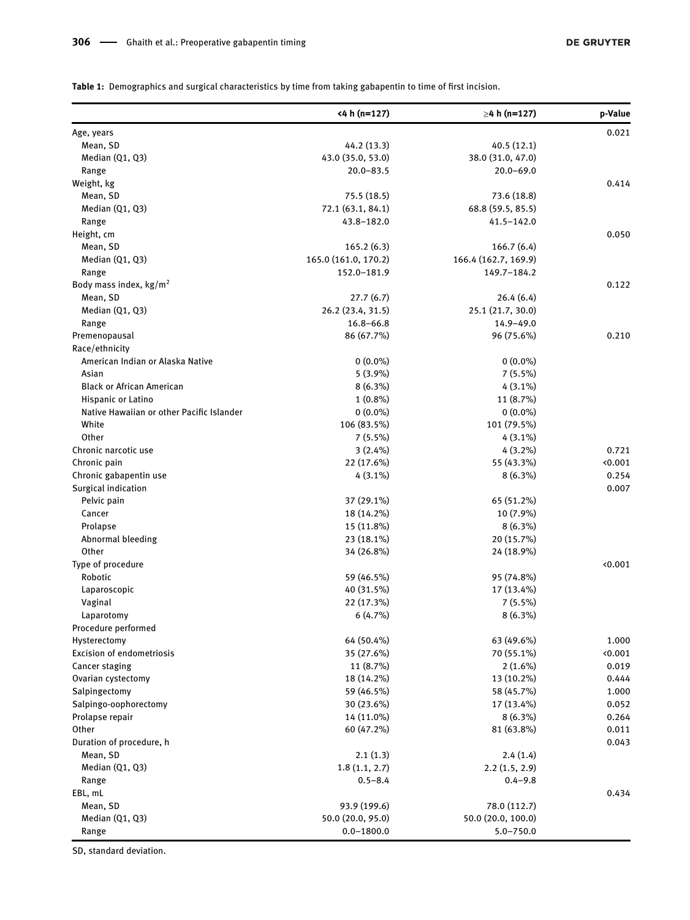<span id="page-3-0"></span>Table 1: Demographics and surgical characteristics by time from taking gabapentin to time of first incision.

|                                           | <4 h (n=127)         | $\geq 4$ h (n=127)   | p-Value |
|-------------------------------------------|----------------------|----------------------|---------|
| Age, years                                |                      |                      | 0.021   |
| Mean, SD                                  | 44.2 (13.3)          | 40.5(12.1)           |         |
| Median (Q1, Q3)                           | 43.0 (35.0, 53.0)    | 38.0 (31.0, 47.0)    |         |
| Range                                     | 20.0-83.5            | $20.0 - 69.0$        |         |
| Weight, kg                                |                      |                      | 0.414   |
| Mean, SD                                  | 75.5 (18.5)          | 73.6 (18.8)          |         |
| Median (Q1, Q3)                           | 72.1 (63.1, 84.1)    | 68.8 (59.5, 85.5)    |         |
| Range                                     | 43.8-182.0           | 41.5-142.0           |         |
| Height, cm                                |                      |                      | 0.050   |
| Mean, SD                                  | 165.2(6.3)           | 166.7(6.4)           |         |
| Median (Q1, Q3)                           | 165.0 (161.0, 170.2) | 166.4 (162.7, 169.9) |         |
| Range                                     | 152.0-181.9          | 149.7-184.2          |         |
| Body mass index, kg/m <sup>2</sup>        |                      |                      | 0.122   |
| Mean, SD                                  |                      |                      |         |
|                                           | 27.7(6.7)            | 26.4(6.4)            |         |
| Median (Q1, Q3)                           | 26.2 (23.4, 31.5)    | 25.1 (21.7, 30.0)    |         |
| Range                                     | $16.8 - 66.8$        | 14.9-49.0            |         |
| Premenopausal                             | 86 (67.7%)           | 96 (75.6%)           | 0.210   |
| Race/ethnicity                            |                      |                      |         |
| American Indian or Alaska Native          | $0(0.0\%)$           | $0(0.0\%)$           |         |
| Asian                                     | $5(3.9\%)$           | $7(5.5\%)$           |         |
| <b>Black or African American</b>          | $8(6.3\%)$           | $4(3.1\%)$           |         |
| Hispanic or Latino                        | $1(0.8\%)$           | 11 (8.7%)            |         |
| Native Hawaiian or other Pacific Islander | $0(0.0\%)$           | $0(0.0\%)$           |         |
| White                                     | 106 (83.5%)          | 101 (79.5%)          |         |
| Other                                     | $7(5.5\%)$           | $4(3.1\%)$           |         |
| Chronic narcotic use                      | 3(2.4%)              | $4(3.2\%)$           | 0.721   |
| Chronic pain                              | 22 (17.6%)           | 55 (43.3%)           | 0.001   |
| Chronic gabapentin use                    | $4(3.1\%)$           | $8(6.3\%)$           | 0.254   |
| Surgical indication                       |                      |                      | 0.007   |
| Pelvic pain                               | 37 (29.1%)           | 65 (51.2%)           |         |
| Cancer                                    | 18 (14.2%)           | 10 (7.9%)            |         |
|                                           |                      |                      |         |
| Prolapse                                  | 15 (11.8%)           | $8(6.3\%)$           |         |
| Abnormal bleeding                         | 23 (18.1%)           | 20 (15.7%)           |         |
| Other                                     | 34 (26.8%)           | 24 (18.9%)           |         |
| Type of procedure                         |                      |                      | 0.001   |
| Robotic                                   | 59 (46.5%)           | 95 (74.8%)           |         |
| Laparoscopic                              | 40 (31.5%)           | 17 (13.4%)           |         |
| Vaginal                                   | 22 (17.3%)           | $7(5.5\%)$           |         |
| Laparotomy                                | 6(4.7%)              | $8(6.3\%)$           |         |
| Procedure performed                       |                      |                      |         |
| Hysterectomy                              | 64 (50.4%)           | 63 (49.6%)           | 1.000   |
| Excision of endometriosis                 | 35 (27.6%)           | 70 (55.1%)           | 0.001   |
| Cancer staging                            | 11 (8.7%)            | $2(1.6\%)$           | 0.019   |
| Ovarian cystectomy                        | 18 (14.2%)           | 13 (10.2%)           | 0.444   |
| Salpingectomy                             | 59 (46.5%)           | 58 (45.7%)           | 1.000   |
| Salpingo-oophorectomy                     | 30 (23.6%)           | 17 (13.4%)           | 0.052   |
| Prolapse repair                           | 14 (11.0%)           | $8(6.3\%)$           | 0.264   |
| Other                                     | 60 (47.2%)           | 81 (63.8%)           | 0.011   |
| Duration of procedure, h                  |                      |                      | 0.043   |
| Mean, SD                                  |                      | 2.4(1.4)             |         |
|                                           | 2.1(1.3)             |                      |         |
| Median (Q1, Q3)                           | 1.8(1.1, 2.7)        | 2.2(1.5, 2.9)        |         |
| Range                                     | $0.5 - 8.4$          | $0.4 - 9.8$          |         |
| EBL, mL                                   |                      |                      | 0.434   |
| Mean, SD                                  | 93.9 (199.6)         | 78.0 (112.7)         |         |
| Median (Q1, Q3)                           | 50.0 (20.0, 95.0)    | 50.0 (20.0, 100.0)   |         |
| Range                                     | $0.0 - 1800.0$       | $5.0 - 750.0$        |         |

SD, standard deviation.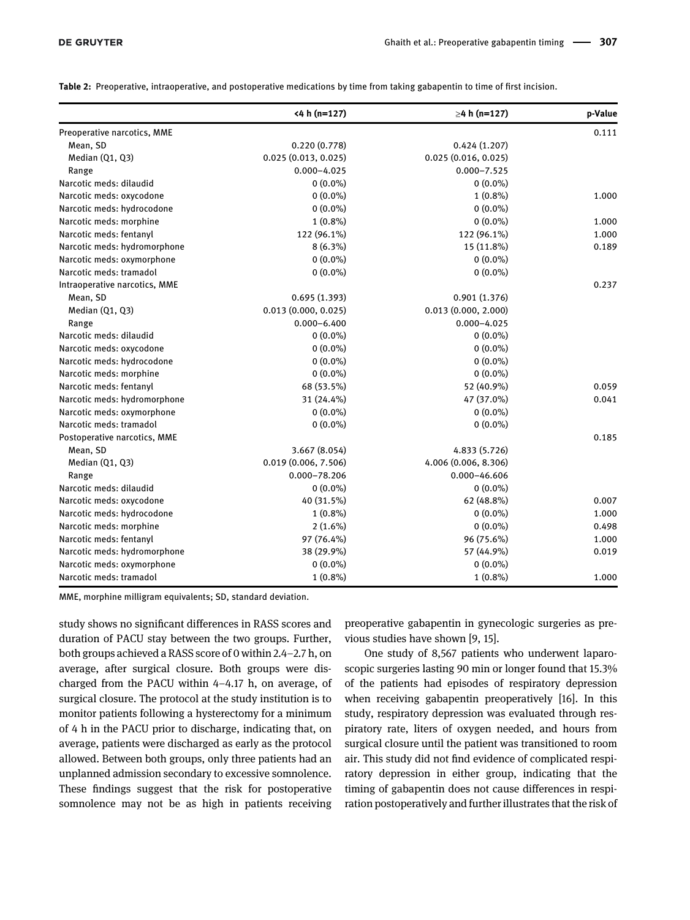<span id="page-4-0"></span>Table 2: Preoperative, intraoperative, and postoperative medications by time from taking gabapentin to time of first incision.

|                               | $<$ 4 h (n=127)     | $\geq 4$ h (n=127)   | p-Value |
|-------------------------------|---------------------|----------------------|---------|
| Preoperative narcotics, MME   |                     |                      | 0.111   |
| Mean, SD                      | 0.220(0.778)        | 0.424(1.207)         |         |
| Median (Q1, Q3)               | 0.025(0.013, 0.025) | 0.025(0.016, 0.025)  |         |
| Range                         | $0.000 - 4.025$     | $0.000 - 7.525$      |         |
| Narcotic meds: dilaudid       | $0(0.0\%)$          | $0(0.0\%)$           |         |
| Narcotic meds: oxycodone      | $0(0.0\%)$          | $1(0.8\%)$           | 1.000   |
| Narcotic meds: hydrocodone    | $0(0.0\%)$          | $0(0.0\%)$           |         |
| Narcotic meds: morphine       | $1(0.8\%)$          | $0(0.0\%)$           | 1.000   |
| Narcotic meds: fentanyl       | 122 (96.1%)         | 122 (96.1%)          | 1.000   |
| Narcotic meds: hydromorphone  | $8(6.3\%)$          | 15 (11.8%)           | 0.189   |
| Narcotic meds: oxymorphone    | $0(0.0\%)$          | $0(0.0\%)$           |         |
| Narcotic meds: tramadol       | $0(0.0\%)$          | $0(0.0\%)$           |         |
| Intraoperative narcotics, MME |                     |                      | 0.237   |
| Mean, SD                      | 0.695(1.393)        | 0.901(1.376)         |         |
| Median (Q1, Q3)               | 0.013(0.000, 0.025) | 0.013(0.000, 2.000)  |         |
| Range                         | $0.000 - 6.400$     | $0.000 - 4.025$      |         |
| Narcotic meds: dilaudid       | $0(0.0\%)$          | $0(0.0\%)$           |         |
| Narcotic meds: oxycodone      | $0(0.0\%)$          | $0(0.0\%)$           |         |
| Narcotic meds: hydrocodone    | $0(0.0\%)$          | $0(0.0\%)$           |         |
| Narcotic meds: morphine       | $0(0.0\%)$          | $0(0.0\%)$           |         |
| Narcotic meds: fentanyl       | 68 (53.5%)          | 52 (40.9%)           | 0.059   |
| Narcotic meds: hydromorphone  | 31 (24.4%)          | 47 (37.0%)           | 0.041   |
| Narcotic meds: oxymorphone    | $0(0.0\%)$          | $0(0.0\%)$           |         |
| Narcotic meds: tramadol       | $0(0.0\%)$          | $0(0.0\%)$           |         |
| Postoperative narcotics, MME  |                     |                      | 0.185   |
| Mean, SD                      | 3.667 (8.054)       | 4.833 (5.726)        |         |
| Median (Q1, Q3)               | 0.019(0.006, 7.506) | 4.006 (0.006, 8.306) |         |
| Range                         | $0.000 - 78.206$    | $0.000 - 46.606$     |         |
| Narcotic meds: dilaudid       | $0(0.0\%)$          | $0(0.0\%)$           |         |
| Narcotic meds: oxycodone      | 40 (31.5%)          | 62 (48.8%)           | 0.007   |
| Narcotic meds: hydrocodone    | $1(0.8\%)$          | $0(0.0\%)$           | 1.000   |
| Narcotic meds: morphine       | $2(1.6\%)$          | $0(0.0\%)$           | 0.498   |
| Narcotic meds: fentanyl       | 97 (76.4%)          | 96 (75.6%)           | 1.000   |
| Narcotic meds: hydromorphone  | 38 (29.9%)          | 57 (44.9%)           | 0.019   |
| Narcotic meds: oxymorphone    | $0(0.0\%)$          | $0(0.0\%)$           |         |
| Narcotic meds: tramadol       | $1(0.8\%)$          | $1(0.8\%)$           | 1.000   |

MME, morphine milligram equivalents; SD, standard deviation.

study shows no significant differences in RASS scores and duration of PACU stay between the two groups. Further, both groups achieved a RASS score of 0 within 2.4–2.7 h, on average, after surgical closure. Both groups were discharged from the PACU within 4–4.17 h, on average, of surgical closure. The protocol at the study institution is to monitor patients following a hysterectomy for a minimum of 4 h in the PACU prior to discharge, indicating that, on average, patients were discharged as early as the protocol allowed. Between both groups, only three patients had an unplanned admission secondary to excessive somnolence. These findings suggest that the risk for postoperative somnolence may not be as high in patients receiving preoperative gabapentin in gynecologic surgeries as previous studies have shown [[9](#page-7-5), [15\]](#page-8-3).

One study of 8,567 patients who underwent laparoscopic surgeries lasting 90 min or longer found that 15.3% of the patients had episodes of respiratory depression when receiving gabapentin preoperatively [\[16\]](#page-8-4). In this study, respiratory depression was evaluated through respiratory rate, liters of oxygen needed, and hours from surgical closure until the patient was transitioned to room air. This study did not find evidence of complicated respiratory depression in either group, indicating that the timing of gabapentin does not cause differences in respiration postoperatively and further illustrates that the risk of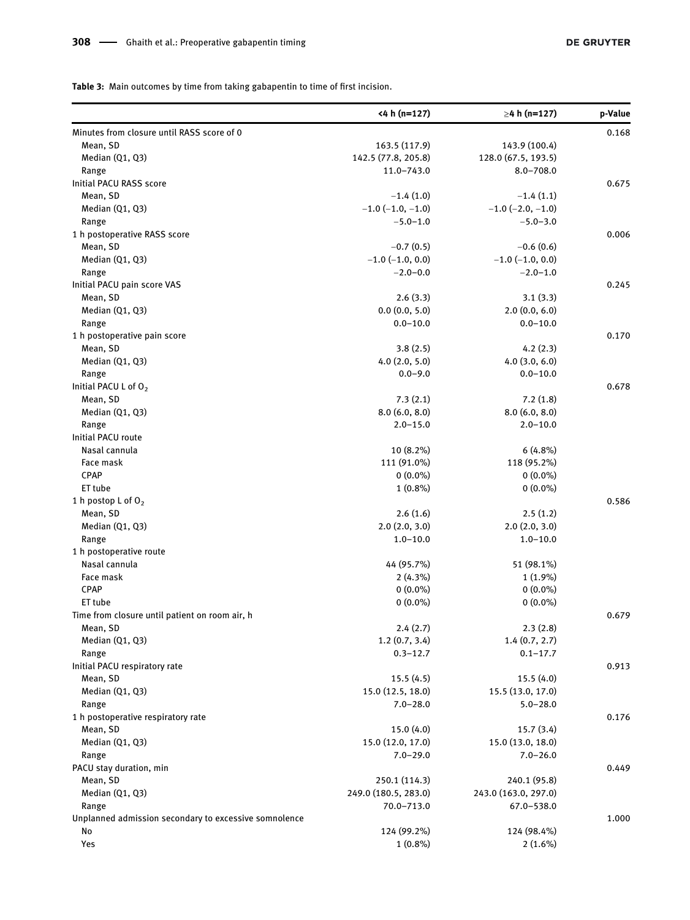<span id="page-5-0"></span>Table 3: Main outcomes by time from taking gabapentin to time of first incision.

|                                                       | <4 h (n=127)               | $\geq$ 4 h (n=127)   | p-Value |
|-------------------------------------------------------|----------------------------|----------------------|---------|
| Minutes from closure until RASS score of 0            |                            |                      | 0.168   |
| Mean, SD                                              | 163.5 (117.9)              | 143.9 (100.4)        |         |
| Median (Q1, Q3)                                       | 142.5 (77.8, 205.8)        | 128.0 (67.5, 193.5)  |         |
| Range                                                 | 11.0-743.0                 | $8.0 - 708.0$        |         |
| Initial PACU RASS score                               |                            |                      | 0.675   |
| Mean, SD                                              | $-1.4(1.0)$                | $-1.4(1.1)$          |         |
| Median (Q1, Q3)                                       | $-1.0$ ( $-1.0$ , $-1.0$ ) | $-1.0$ (-2.0, -1.0)  |         |
| Range                                                 | $-5.0 - 1.0$               | $-5.0 - 3.0$         |         |
| 1 h postoperative RASS score                          |                            |                      | 0.006   |
| Mean, SD                                              | $-0.7(0.5)$                | $-0.6(0.6)$          |         |
| Median (Q1, Q3)                                       | $-1.0$ (-1.0, 0.0)         | $-1.0$ (-1.0, 0.0)   |         |
| Range                                                 | $-2.0 - 0.0$               | $-2.0 - 1.0$         |         |
| Initial PACU pain score VAS                           |                            |                      | 0.245   |
| Mean, SD                                              | 2.6(3.3)                   | 3.1(3.3)             |         |
| Median (Q1, Q3)                                       | 0.0(0.0, 5.0)              | 2.0(0.0, 6.0)        |         |
| Range                                                 | $0.0 - 10.0$               | $0.0 - 10.0$         |         |
| 1 h postoperative pain score                          |                            |                      | 0.170   |
| Mean, SD                                              | 3.8(2.5)                   | 4.2(2.3)             |         |
|                                                       |                            |                      |         |
| Median (Q1, Q3)                                       | 4.0(2.0, 5.0)              | 4.0(3.0, 6.0)        |         |
| Range                                                 | $0.0 - 9.0$                | $0.0 - 10.0$         |         |
| Initial PACU L of O <sub>2</sub>                      |                            |                      | 0.678   |
| Mean, SD                                              | 7.3(2.1)                   | 7.2(1.8)             |         |
| Median (Q1, Q3)                                       | 8.0(6.0, 8.0)              | 8.0(6.0, 8.0)        |         |
| Range                                                 | $2.0 - 15.0$               | $2.0 - 10.0$         |         |
| Initial PACU route                                    |                            |                      |         |
| Nasal cannula                                         | 10 (8.2%)                  | 6(4.8%)              |         |
| Face mask                                             | 111 (91.0%)                | 118 (95.2%)          |         |
| CPAP                                                  | $0(0.0\%)$                 | $0(0.0\%)$           |         |
| ET tube                                               | $1(0.8\%)$                 | $0(0.0\%)$           |         |
| 1 h postop L of $O_2$                                 |                            |                      | 0.586   |
| Mean, SD                                              | 2.6(1.6)                   | 2.5(1.2)             |         |
| Median (Q1, Q3)                                       | 2.0(2.0, 3.0)              | 2.0(2.0, 3.0)        |         |
| Range                                                 | $1.0 - 10.0$               | $1.0 - 10.0$         |         |
| 1 h postoperative route                               |                            |                      |         |
| Nasal cannula                                         | 44 (95.7%)                 | 51 (98.1%)           |         |
| Face mask                                             | $2(4.3\%)$                 | $1(1.9\%)$           |         |
| <b>CPAP</b>                                           | $0(0.0\%)$                 | $0(0.0\%)$           |         |
| ET tube                                               | $0(0.0\%)$                 | $0(0.0\%)$           |         |
| Time from closure until patient on room air, h        |                            |                      | 0.679   |
| Mean, SD                                              | 2.4(2.7)                   | 2.3(2.8)             |         |
| Median (Q1, Q3)                                       | 1.2(0.7, 3.4)              | 1.4(0.7, 2.7)        |         |
| Range                                                 | $0.3 - 12.7$               | $0.1 - 17.7$         |         |
| Initial PACU respiratory rate                         |                            |                      | 0.913   |
| Mean, SD                                              | 15.5(4.5)                  | 15.5 (4.0)           |         |
| Median (Q1, Q3)                                       | 15.0 (12.5, 18.0)          | 15.5 (13.0, 17.0)    |         |
| Range                                                 | $7.0 - 28.0$               | $5.0 - 28.0$         |         |
| 1 h postoperative respiratory rate                    |                            |                      | 0.176   |
| Mean, SD                                              | 15.0(4.0)                  | 15.7(3.4)            |         |
| Median (Q1, Q3)                                       | 15.0 (12.0, 17.0)          | 15.0 (13.0, 18.0)    |         |
| Range                                                 | $7.0 - 29.0$               | $7.0 - 26.0$         |         |
| PACU stay duration, min                               |                            |                      | 0.449   |
|                                                       |                            |                      |         |
| Mean, SD                                              | 250.1 (114.3)              | 240.1 (95.8)         |         |
| Median (Q1, Q3)                                       | 249.0 (180.5, 283.0)       | 243.0 (163.0, 297.0) |         |
| Range                                                 | 70.0-713.0                 | 67.0-538.0           |         |
| Unplanned admission secondary to excessive somnolence |                            |                      | 1.000   |
| No                                                    | 124 (99.2%)                | 124 (98.4%)          |         |
| Yes                                                   | $1(0.8\%)$                 | $2(1.6\%)$           |         |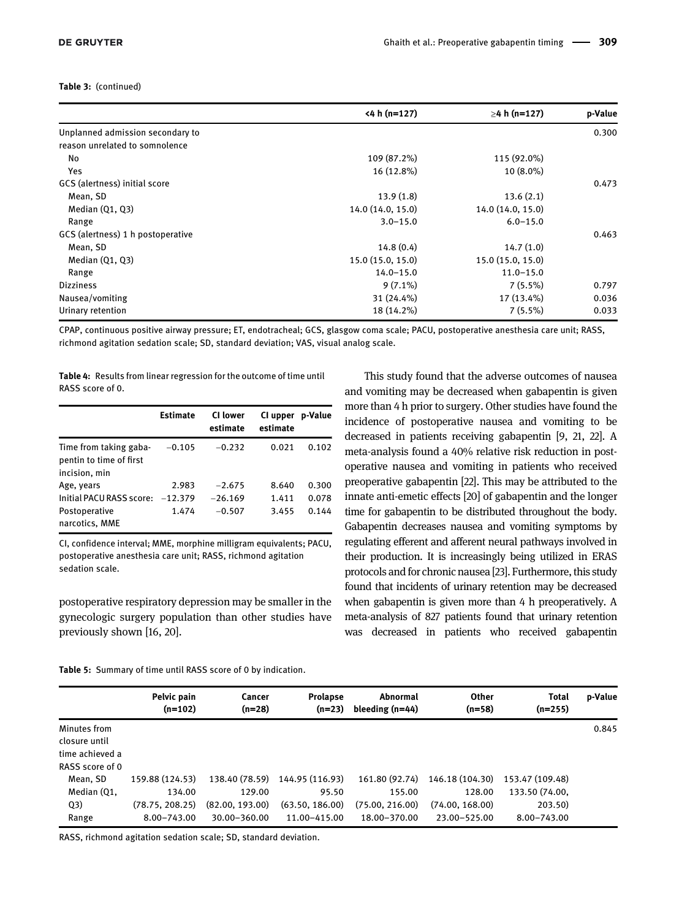#### Table 3: (continued)

|                                   | $<$ 4 h (n=127)   | $\geq$ 4 h (n=127) | p-Value |
|-----------------------------------|-------------------|--------------------|---------|
| Unplanned admission secondary to  |                   |                    | 0.300   |
| reason unrelated to somnolence    |                   |                    |         |
| No                                | 109 (87.2%)       | 115 (92.0%)        |         |
| Yes                               | 16 (12.8%)        | 10 (8.0%)          |         |
| GCS (alertness) initial score     |                   |                    | 0.473   |
| Mean, SD                          | 13.9(1.8)         | 13.6(2.1)          |         |
| Median $(Q1, Q3)$                 | 14.0 (14.0, 15.0) | 14.0 (14.0, 15.0)  |         |
| Range                             | $3.0 - 15.0$      | $6.0 - 15.0$       |         |
| GCS (alertness) 1 h postoperative |                   |                    | 0.463   |
| Mean, SD                          | 14.8(0.4)         | 14.7(1.0)          |         |
| Median $(Q1, Q3)$                 | 15.0 (15.0, 15.0) | 15.0(15.0, 15.0)   |         |
| Range                             | $14.0 - 15.0$     | $11.0 - 15.0$      |         |
| <b>Dizziness</b>                  | $9(7.1\%)$        | $7(5.5\%)$         | 0.797   |
| Nausea/vomiting                   | 31 (24.4%)        | 17 (13.4%)         | 0.036   |
| Urinary retention                 | 18 (14.2%)        | 7(5.5%)            | 0.033   |

CPAP, continuous positive airway pressure; ET, endotracheal; GCS, glasgow coma scale; PACU, postoperative anesthesia care unit; RASS, richmond agitation sedation scale; SD, standard deviation; VAS, visual analog scale.

<span id="page-6-0"></span>Table 4: Results from linear regression for the outcome of time until RASS score of 0.

|                                                                    | <b>Estimate</b> | <b>CI</b> lower<br>estimate | CI upper<br>estimate | p-Value |
|--------------------------------------------------------------------|-----------------|-----------------------------|----------------------|---------|
| Time from taking gaba-<br>pentin to time of first<br>incision, min | $-0.105$        | $-0.232$                    | 0.021                | 0.102   |
| Age, years                                                         | 2.983           | $-2.675$                    | 8.640                | 0.300   |
| Initial PACU RASS score: -12.379                                   |                 | $-26.169$                   | 1.411                | 0.078   |
| Postoperative                                                      | 1.474           | $-0.507$                    | 3.455                | 0.144   |
| narcotics, MME                                                     |                 |                             |                      |         |

CI, confidence interval; MME, morphine milligram equivalents; PACU, postoperative anesthesia care unit; RASS, richmond agitation sedation scale.

postoperative respiratory depression may be smaller in the gynecologic surgery population than other studies have previously shown [\[16,](#page-8-4) [20\]](#page-8-8).

This study found that the adverse outcomes of nausea and vomiting may be decreased when gabapentin is given more than 4 h prior to surgery. Other studies have found the incidence of postoperative nausea and vomiting to be decreased in patients receiving gabapentin [[9,](#page-7-5) [21](#page-8-9), [22](#page-8-10)]. A meta-analysis found a 40% relative risk reduction in postoperative nausea and vomiting in patients who received preoperative gabapentin [[22\]](#page-8-10). This may be attributed to the innate anti-emetic effects [[20](#page-8-8)] of gabapentin and the longer time for gabapentin to be distributed throughout the body. Gabapentin decreases nausea and vomiting symptoms by regulating efferent and afferent neural pathways involved in their production. It is increasingly being utilized in ERAS protocols and for chronic nausea [\[23\]](#page-8-11). Furthermore, this study found that incidents of urinary retention may be decreased when gabapentin is given more than 4 h preoperatively. A meta-analysis of 827 patients found that urinary retention was decreased in patients who received gabapentin

<span id="page-6-1"></span>Table 5: Summary of time until RASS score of 0 by indication.

|                                                                     | Pelvic pain<br>$(n=102)$ | Cancer<br>$(n=28)$ | <b>Prolapse</b><br>$(n=23)$ | Abnormal<br>bleeding $(n=44)$ | Other<br>$(n=58)$ | <b>Total</b><br>$(n=255)$ | p-Value |
|---------------------------------------------------------------------|--------------------------|--------------------|-----------------------------|-------------------------------|-------------------|---------------------------|---------|
| Minutes from<br>closure until<br>time achieved a<br>RASS score of 0 |                          |                    |                             |                               |                   |                           | 0.845   |
| Mean, SD                                                            | 159.88 (124.53)          | 138.40 (78.59)     | 144.95 (116.93)             | 161.80 (92.74)                | 146.18 (104.30)   | 153.47 (109.48)           |         |
| Median (Q1,                                                         | 134.00                   | 129.00             | 95.50                       | 155.00                        | 128.00            | 133.50 (74.00,            |         |
| Q3)                                                                 | (78.75, 208.25)          | (82.00, 193.00)    | (63.50, 186.00)             | (75.00, 216.00)               | (74.00, 168.00)   | 203.50)                   |         |
| Range                                                               | 8.00-743.00              | 30.00-360.00       | 11.00-415.00                | 18.00-370.00                  | 23.00-525.00      | 8.00-743.00               |         |

RASS, richmond agitation sedation scale; SD, standard deviation.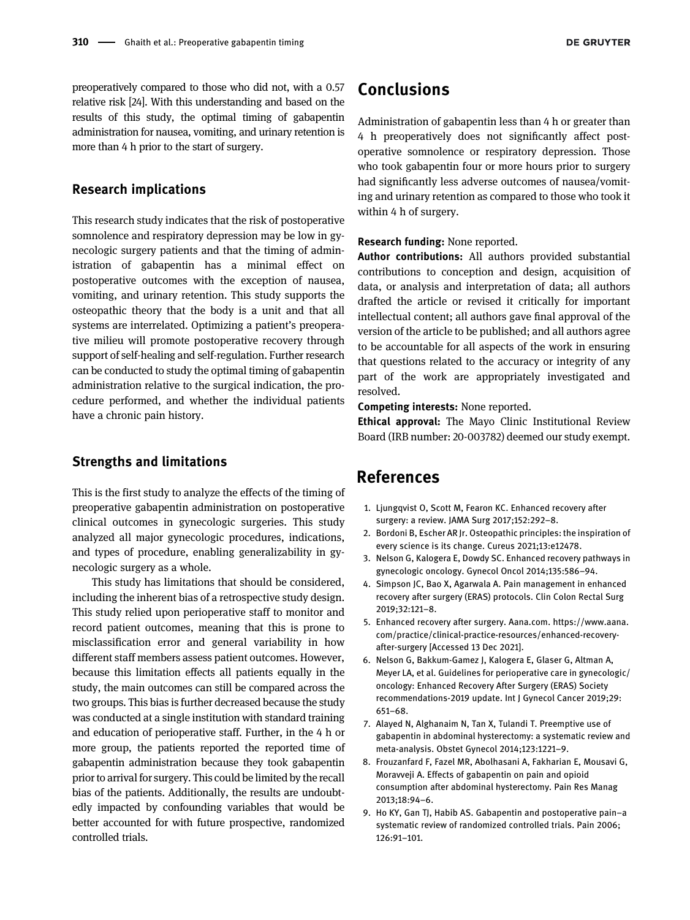preoperatively compared to those who did not, with a 0.57 relative risk [[24](#page-8-12)]. With this understanding and based on the results of this study, the optimal timing of gabapentin administration for nausea, vomiting, and urinary retention is more than 4 h prior to the start of surgery.

#### Research implications

This research study indicates that the risk of postoperative somnolence and respiratory depression may be low in gynecologic surgery patients and that the timing of administration of gabapentin has a minimal effect on postoperative outcomes with the exception of nausea, vomiting, and urinary retention. This study supports the osteopathic theory that the body is a unit and that all systems are interrelated. Optimizing a patient's preoperative milieu will promote postoperative recovery through support of self-healing and self-regulation. Further research can be conducted to study the optimal timing of gabapentin administration relative to the surgical indication, the procedure performed, and whether the individual patients have a chronic pain history.

#### Strengths and limitations

This is the first study to analyze the effects of the timing of preoperative gabapentin administration on postoperative clinical outcomes in gynecologic surgeries. This study analyzed all major gynecologic procedures, indications, and types of procedure, enabling generalizability in gynecologic surgery as a whole.

This study has limitations that should be considered, including the inherent bias of a retrospective study design. This study relied upon perioperative staff to monitor and record patient outcomes, meaning that this is prone to misclassification error and general variability in how different staff members assess patient outcomes. However, because this limitation effects all patients equally in the study, the main outcomes can still be compared across the two groups. This bias is further decreased because the study was conducted at a single institution with standard training and education of perioperative staff. Further, in the 4 h or more group, the patients reported the reported time of gabapentin administration because they took gabapentin prior to arrival for surgery. This could be limited by the recall bias of the patients. Additionally, the results are undoubtedly impacted by confounding variables that would be better accounted for with future prospective, randomized controlled trials.

# Conclusions

Administration of gabapentin less than 4 h or greater than 4 h preoperatively does not significantly affect postoperative somnolence or respiratory depression. Those who took gabapentin four or more hours prior to surgery had significantly less adverse outcomes of nausea/vomiting and urinary retention as compared to those who took it within 4 h of surgery.

Research funding: None reported.

Author contributions: All authors provided substantial contributions to conception and design, acquisition of data, or analysis and interpretation of data; all authors drafted the article or revised it critically for important intellectual content; all authors gave final approval of the version of the article to be published; and all authors agree to be accountable for all aspects of the work in ensuring that questions related to the accuracy or integrity of any part of the work are appropriately investigated and resolved.

Competing interests: None reported.

**Ethical approval:** The Mayo Clinic Institutional Review Board (IRB number: 20-003782) deemed our study exempt.

# References

- <span id="page-7-0"></span>1. Ljungqvist O, Scott M, Fearon KC. Enhanced recovery after surgery: a review. JAMA Surg 2017;152:292–8.
- <span id="page-7-1"></span>2. Bordoni B, Escher AR Jr. Osteopathic principles: the inspiration of every science is its change. Cureus 2021;13:e12478.
- <span id="page-7-2"></span>3. Nelson G, Kalogera E, Dowdy SC. Enhanced recovery pathways in gynecologic oncology. Gynecol Oncol 2014;135:586–94.
- <span id="page-7-3"></span>4. Simpson JC, Bao X, Agarwala A. Pain management in enhanced recovery after surgery (ERAS) protocols. Clin Colon Rectal Surg 2019;32:121–8.
- 5. Enhanced recovery after surgery. Aana.com. [https://www.aana.](https://www.aana.com/practice/clinical-practice-resources/enhanced-recovery-after-surgery) [com/practice/clinical-practice-resources/enhanced-recovery](https://www.aana.com/practice/clinical-practice-resources/enhanced-recovery-after-surgery)[after-surgery](https://www.aana.com/practice/clinical-practice-resources/enhanced-recovery-after-surgery) [Accessed 13 Dec 2021].
- <span id="page-7-4"></span>6. Nelson G, Bakkum-Gamez J, Kalogera E, Glaser G, Altman A, Meyer LA, et al. Guidelines for perioperative care in gynecologic/ oncology: Enhanced Recovery After Surgery (ERAS) Society recommendations-2019 update. Int J Gynecol Cancer 2019;29: 651–68.
- 7. Alayed N, Alghanaim N, Tan X, Tulandi T. Preemptive use of gabapentin in abdominal hysterectomy: a systematic review and meta-analysis. Obstet Gynecol 2014;123:1221–9.
- 8. Frouzanfard F, Fazel MR, Abolhasani A, Fakharian E, Mousavi G, Moravveji A. Effects of gabapentin on pain and opioid consumption after abdominal hysterectomy. Pain Res Manag 2013;18:94–6.
- <span id="page-7-5"></span>9. Ho KY, Gan TJ, Habib AS. Gabapentin and postoperative pain–a systematic review of randomized controlled trials. Pain 2006; 126:91–101.